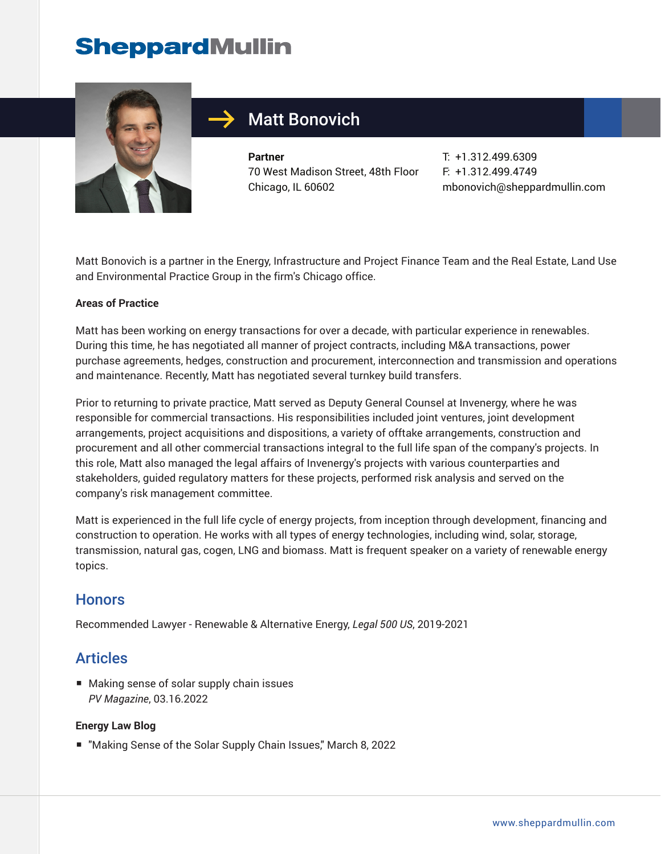# **SheppardMullin**



## Matt Bonovich

**Partner** 70 West Madison Street, 48th Floor Chicago, IL 60602

T: +1.312.499.6309 F: +1.312.499.4749 mbonovich@sheppardmullin.com

Matt Bonovich is a partner in the Energy, Infrastructure and Project Finance Team and the Real Estate, Land Use and Environmental Practice Group in the firm's Chicago office.

#### **Areas of Practice**

Matt has been working on energy transactions for over a decade, with particular experience in renewables. During this time, he has negotiated all manner of project contracts, including M&A transactions, power purchase agreements, hedges, construction and procurement, interconnection and transmission and operations and maintenance. Recently, Matt has negotiated several turnkey build transfers.

Prior to returning to private practice, Matt served as Deputy General Counsel at Invenergy, where he was responsible for commercial transactions. His responsibilities included joint ventures, joint development arrangements, project acquisitions and dispositions, a variety of offtake arrangements, construction and procurement and all other commercial transactions integral to the full life span of the company's projects. In this role, Matt also managed the legal affairs of Invenergy's projects with various counterparties and stakeholders, guided regulatory matters for these projects, performed risk analysis and served on the company's risk management committee.

Matt is experienced in the full life cycle of energy projects, from inception through development, financing and construction to operation. He works with all types of energy technologies, including wind, solar, storage, transmission, natural gas, cogen, LNG and biomass. Matt is frequent speaker on a variety of renewable energy topics.

#### **Honors**

Recommended Lawyer - Renewable & Alternative Energy, *Legal 500 US*, 2019-2021

## Articles

■ Making sense of solar supply chain issues *PV Magazine*, 03.16.2022

#### **Energy Law Blog**

■ "Making Sense of the Solar Supply Chain Issues," March 8, 2022